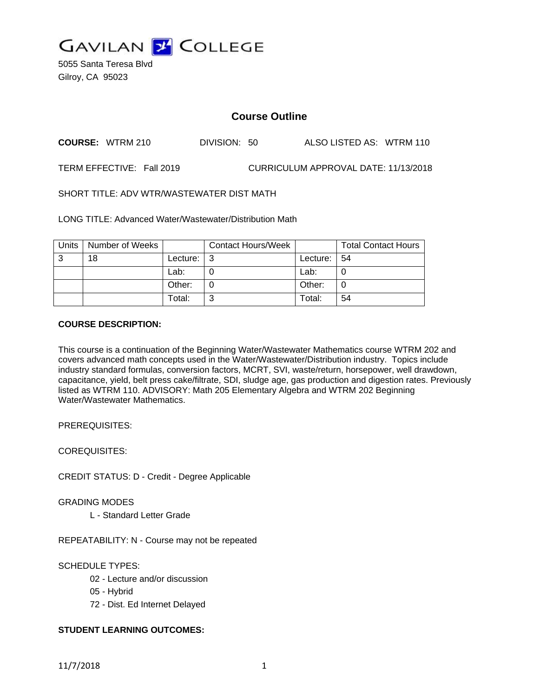

5055 Santa Teresa Blvd Gilroy, CA 95023

# **Course Outline**

**COURSE:** WTRM 210 DIVISION: 50 ALSO LISTED AS: WTRM 110

TERM EFFECTIVE: Fall 2019 CURRICULUM APPROVAL DATE: 11/13/2018

SHORT TITLE: ADV WTR/WASTEWATER DIST MATH

LONG TITLE: Advanced Water/Wastewater/Distribution Math

| Units | Number of Weeks |          | <b>Contact Hours/Week</b> |          | <b>Total Contact Hours</b> |
|-------|-----------------|----------|---------------------------|----------|----------------------------|
| 3     | 18              | Lecture: | -3                        | Lecture: | 54                         |
|       |                 | Lab:     |                           | Lab:     | U                          |
|       |                 | Other:   |                           | Other:   | C                          |
|       |                 | Total:   | າ                         | Total:   | 54                         |

#### **COURSE DESCRIPTION:**

This course is a continuation of the Beginning Water/Wastewater Mathematics course WTRM 202 and covers advanced math concepts used in the Water/Wastewater/Distribution industry. Topics include industry standard formulas, conversion factors, MCRT, SVI, waste/return, horsepower, well drawdown, capacitance, yield, belt press cake/filtrate, SDI, sludge age, gas production and digestion rates. Previously listed as WTRM 110. ADVISORY: Math 205 Elementary Algebra and WTRM 202 Beginning Water/Wastewater Mathematics.

PREREQUISITES:

COREQUISITES:

CREDIT STATUS: D - Credit - Degree Applicable

GRADING MODES

L - Standard Letter Grade

REPEATABILITY: N - Course may not be repeated

SCHEDULE TYPES:

- 02 Lecture and/or discussion
- 05 Hybrid
- 72 Dist. Ed Internet Delayed

## **STUDENT LEARNING OUTCOMES:**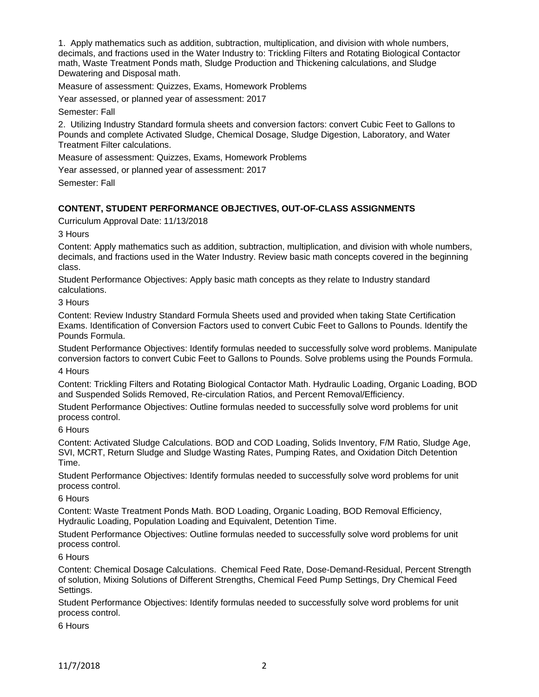1. Apply mathematics such as addition, subtraction, multiplication, and division with whole numbers, decimals, and fractions used in the Water Industry to: Trickling Filters and Rotating Biological Contactor math, Waste Treatment Ponds math, Sludge Production and Thickening calculations, and Sludge Dewatering and Disposal math.

Measure of assessment: Quizzes, Exams, Homework Problems

Year assessed, or planned year of assessment: 2017

Semester: Fall

2. Utilizing Industry Standard formula sheets and conversion factors: convert Cubic Feet to Gallons to Pounds and complete Activated Sludge, Chemical Dosage, Sludge Digestion, Laboratory, and Water Treatment Filter calculations.

Measure of assessment: Quizzes, Exams, Homework Problems

Year assessed, or planned year of assessment: 2017

Semester: Fall

#### **CONTENT, STUDENT PERFORMANCE OBJECTIVES, OUT-OF-CLASS ASSIGNMENTS**

Curriculum Approval Date: 11/13/2018

3 Hours

Content: Apply mathematics such as addition, subtraction, multiplication, and division with whole numbers, decimals, and fractions used in the Water Industry. Review basic math concepts covered in the beginning class.

Student Performance Objectives: Apply basic math concepts as they relate to Industry standard calculations.

3 Hours

Content: Review Industry Standard Formula Sheets used and provided when taking State Certification Exams. Identification of Conversion Factors used to convert Cubic Feet to Gallons to Pounds. Identify the Pounds Formula.

Student Performance Objectives: Identify formulas needed to successfully solve word problems. Manipulate conversion factors to convert Cubic Feet to Gallons to Pounds. Solve problems using the Pounds Formula.

4 Hours

Content: Trickling Filters and Rotating Biological Contactor Math. Hydraulic Loading, Organic Loading, BOD and Suspended Solids Removed, Re-circulation Ratios, and Percent Removal/Efficiency.

Student Performance Objectives: Outline formulas needed to successfully solve word problems for unit process control.

6 Hours

Content: Activated Sludge Calculations. BOD and COD Loading, Solids Inventory, F/M Ratio, Sludge Age, SVI, MCRT, Return Sludge and Sludge Wasting Rates, Pumping Rates, and Oxidation Ditch Detention Time.

Student Performance Objectives: Identify formulas needed to successfully solve word problems for unit process control.

6 Hours

Content: Waste Treatment Ponds Math. BOD Loading, Organic Loading, BOD Removal Efficiency, Hydraulic Loading, Population Loading and Equivalent, Detention Time.

Student Performance Objectives: Outline formulas needed to successfully solve word problems for unit process control.

6 Hours

Content: Chemical Dosage Calculations. Chemical Feed Rate, Dose-Demand-Residual, Percent Strength of solution, Mixing Solutions of Different Strengths, Chemical Feed Pump Settings, Dry Chemical Feed Settings.

Student Performance Objectives: Identify formulas needed to successfully solve word problems for unit process control.

6 Hours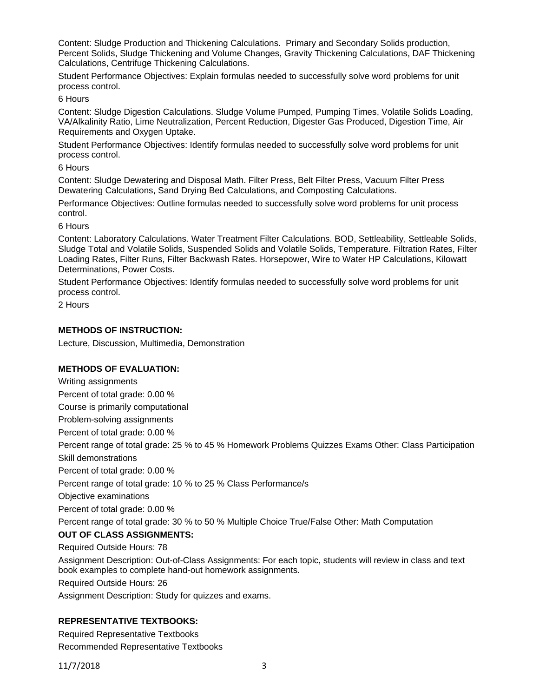Content: Sludge Production and Thickening Calculations. Primary and Secondary Solids production, Percent Solids, Sludge Thickening and Volume Changes, Gravity Thickening Calculations, DAF Thickening Calculations, Centrifuge Thickening Calculations.

Student Performance Objectives: Explain formulas needed to successfully solve word problems for unit process control.

6 Hours

Content: Sludge Digestion Calculations. Sludge Volume Pumped, Pumping Times, Volatile Solids Loading, VA/Alkalinity Ratio, Lime Neutralization, Percent Reduction, Digester Gas Produced, Digestion Time, Air Requirements and Oxygen Uptake.

Student Performance Objectives: Identify formulas needed to successfully solve word problems for unit process control.

6 Hours

Content: Sludge Dewatering and Disposal Math. Filter Press, Belt Filter Press, Vacuum Filter Press Dewatering Calculations, Sand Drying Bed Calculations, and Composting Calculations.

Performance Objectives: Outline formulas needed to successfully solve word problems for unit process control.

6 Hours

Content: Laboratory Calculations. Water Treatment Filter Calculations. BOD, Settleability, Settleable Solids, Sludge Total and Volatile Solids, Suspended Solids and Volatile Solids, Temperature. Filtration Rates, Filter Loading Rates, Filter Runs, Filter Backwash Rates. Horsepower, Wire to Water HP Calculations, Kilowatt Determinations, Power Costs.

Student Performance Objectives: Identify formulas needed to successfully solve word problems for unit process control.

2 Hours

## **METHODS OF INSTRUCTION:**

Lecture, Discussion, Multimedia, Demonstration

## **METHODS OF EVALUATION:**

Writing assignments Percent of total grade: 0.00 % Course is primarily computational Problem-solving assignments Percent of total grade: 0.00 % Percent range of total grade: 25 % to 45 % Homework Problems Quizzes Exams Other: Class Participation Skill demonstrations Percent of total grade: 0.00 % Percent range of total grade: 10 % to 25 % Class Performance/s Objective examinations Percent of total grade: 0.00 % Percent range of total grade: 30 % to 50 % Multiple Choice True/False Other: Math Computation **OUT OF CLASS ASSIGNMENTS:** Required Outside Hours: 78 Assignment Description: Out-of-Class Assignments: For each topic, students will review in class and text book examples to complete hand-out homework assignments. Required Outside Hours: 26

Assignment Description: Study for quizzes and exams.

## **REPRESENTATIVE TEXTBOOKS:**

Required Representative Textbooks Recommended Representative Textbooks